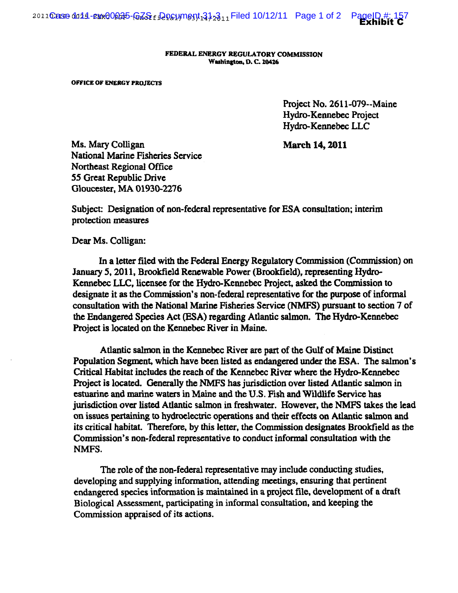FEDERAL ENERGY REGVLATORY COMMISSION Washington, D.C. 20426

OFFICE OF ENERGY PROJECTS

Project No. 2611-079--Maine Hydro-Kennebec Project Hydro-Kennebec LLC

March 14, 2011

Ms. Mary Colligan National Marine Fisheries Service Northeast Regional Office 55 Great Republic Drive Gloucester, MA 01930-2276

Subject: Designation of non-federal representative for ESA consultation; interim protection measures

Dear Ms. Colligan:

In a letter filed with the Federal Energy Regulatory Commission (Commission) on January 5, 2011, Brookfield Renewable Power (Brookfield), representing Hydro-Kennebec LLC, licensee for the Hydro-Kennebec Project, asked the Commission to designate it as the Commission's non-federal representative for the purpose of informal consultation with the National Marine Fisheries Service (NMFS) pursuant to section 7 of the Endangered Species Act (ESA) regarding Atlantic salmon. The Hydro-Kennebec Project is located on the Kennebec River in Maine.

Atlantic salmon in the Kennebec River are part of the Gulf of Maine Distinct Population Segment, which have been listed as endangered under the ESA. The salmon's Critical Habitat includes the reach of the Kennebec River where the Hydro-Kennebec Project is located. Generally the NMFS has jurisdiction over listed Atlantic salmon in estuarine and marine waters in Maine and the U.S. Fish and Wildlife Service has jurisdiction over listed Atlantic salmon in freshwater. However, the NMFS takes the lead on issues pertaining to hydroelectric operations and their effects on Atlantic salmon and its critical habitat. Therefore, by this letter, the Commission designates Brookfield as the Commission's non-federal representative to conduct informal consultation with the NMFS.

The role of the non-federal representative may include conducting studies, developing and supplying information, attending meetings, ensuring that pertinent endangered species information is maintained in a project file, development of a draft Biological Assessment, participating in informal consultation, and keeping the Commission appraised of its actions.